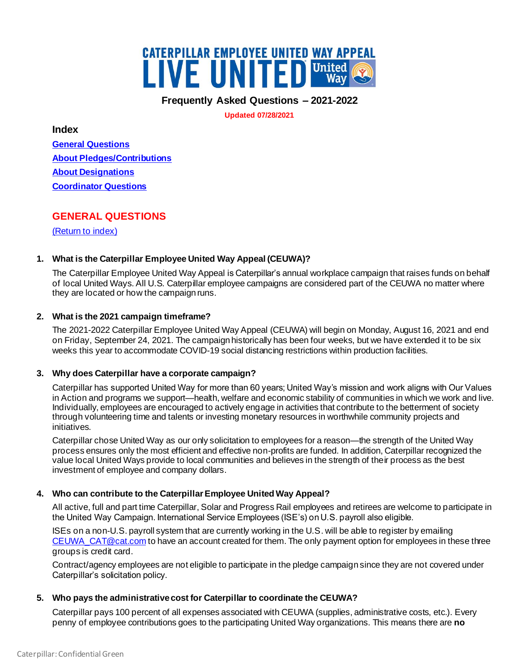

**Frequently Asked Questions – 2021-2022**

**Updated 07/28/2021**

<span id="page-0-1"></span>**Index**

**[General Questions](#page-0-0) [About Pledges/Contributions](#page-2-0) [About Designations](#page-6-0) [Coordinator Questions](#page-7-0)**

# <span id="page-0-0"></span>**GENERAL QUESTIONS**

[\(Return to index\)](#page-0-1)

# **1. What is the Caterpillar Employee United Way Appeal (CEUWA)?**

The Caterpillar Employee United Way Appeal is Caterpillar's annual workplace campaign that raises funds on behalf of local United Ways. All U.S. Caterpillar employee campaigns are considered part of the CEUWA no matter where they are located or how the campaign runs.

# **2. What is the 2021 campaign timeframe?**

The 2021-2022 Caterpillar Employee United Way Appeal (CEUWA) will begin on Monday, August 16, 2021 and end on Friday, September 24, 2021. The campaign historically has been four weeks, but we have extended it to be six weeks this year to accommodate COVID-19 social distancing restrictions within production facilities.

# **3. Why does Caterpillar have a corporate campaign?**

Caterpillar has supported United Way for more than 60 years; United Way's mission and work aligns with Our Values in Action and programs we support—health, welfare and economic stability of communities in which we work and live. Individually, employees are encouraged to actively engage in activities that contribute to the betterment of society through volunteering time and talents or investing monetary resources in worthwhile community projects and initiatives.

Caterpillar chose United Way as our only solicitation to employees for a reason—the strength of the United Way process ensures only the most efficient and effective non-profits are funded. In addition, Caterpillar recognized the value local United Ways provide to local communities and believes in the strength of their process as the best investment of employee and company dollars.

# **4. Who can contribute to the Caterpillar Employee United Way Appeal?**

All active, full and part time Caterpillar, Solar and Progress Rail employees and retirees are welcome to participate in the United Way Campaign. International Service Employees (ISE's) on U.S. payroll also eligible.

ISEs on a non-U.S. payroll system that are currently working in the U.S. will be able to register by emailing [CEUWA\\_CAT@cat.com](mailto:CEUWA_CAT@cat.com) to have an account created for them. The only payment option for employees in these three groups is credit card.

Contract/agency employees are not eligible to participate in the pledge campaignsince they are not covered under Caterpillar's solicitation policy.

# **5. Who pays the administrative cost for Caterpillar to coordinate the CEUWA?**

Caterpillar pays 100 percent of all expenses associated with CEUWA (supplies, administrative costs, etc.). Every penny of employee contributions goes to the participating United Way organizations. This means there are **no**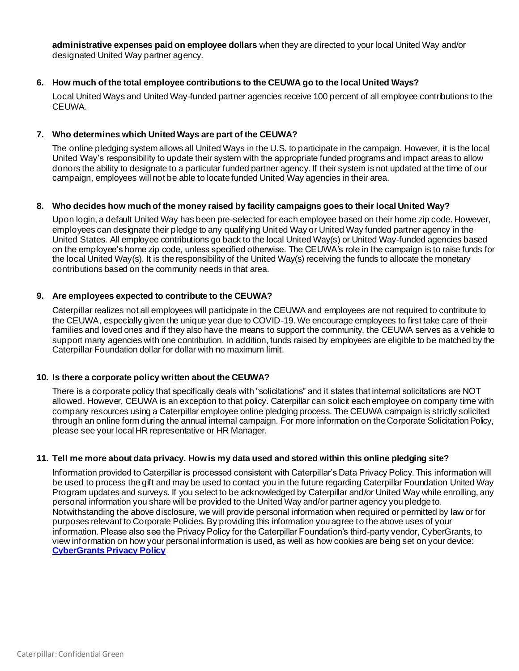**administrative expenses paid on employee dollars** when they are directed to your local United Way and/or designated United Way partner agency.

## **6. How much of the total employee contributions to the CEUWA go to the local United Ways?**

Local United Ways and United Way-funded partner agencies receive 100 percent of all employee contributions to the CEUWA.

## **7. Who determines which United Ways are part of the CEUWA?**

The online pledging system allows all United Ways in the U.S. to participate in the campaign. However, it is the local United Way's responsibility to update their system with the appropriate funded programs and impact areas to allow donors the ability to designate to a particular funded partner agency. If their system is not updated at the time of our campaign, employees will not be able to locate funded United Way agencies in their area.

## **8. Who decides how much of the money raised by facility campaigns goes to their local United Way?**

Upon login, a default United Way has been pre-selected for each employee based on their home zip code. However, employees can designate their pledge to any qualifying United Way or United Way funded partner agency in the United States. All employee contributions go back to the local United Way(s) or United Way-funded agencies based on the employee's home zip code, unless specified otherwise. The CEUWA's role in the campaign is to raise funds for the local United Way(s). It is the responsibility of the United Way(s) receiving the funds to allocate the monetary contributions based on the community needs in that area.

## **9. Are employees expected to contribute to the CEUWA?**

Caterpillar realizes not all employees will participate in the CEUWA and employees are not required to contribute to the CEUWA, especially given the unique year due to COVID-19. We encourage employees to first take care of their families and loved ones and if they also have the means to support the community, the CEUWA serves as a vehicle to support many agencies with one contribution. In addition, funds raised by employees are eligible to be matched by the Caterpillar Foundation dollar for dollar with no maximum limit.

#### **10. Is there a corporate policy written about the CEUWA?**

There is a corporate policy that specifically deals with "solicitations" and it states that internal solicitations are NOT allowed. However, CEUWA is an exception to that policy. Caterpillar can solicit each employee on company time with company resources using a Caterpillar employee online pledging process. The CEUWA campaign is strictly solicited through an online form during the annual internal campaign. For more information on the Corporate Solicitation Policy, please see your local HR representative or HR Manager.

#### **11. Tell me more about data privacy. How is my data used and stored within this online pledging site?**

Information provided to Caterpillar is processed consistent with Caterpillar's Data Privacy Policy. This information will be used to process the gift and may be used to contact you in the future regarding Caterpillar Foundation United Way Program updates and surveys. If you select to be acknowledged by Caterpillar and/or United Way while enrolling, any personal information you share will be provided to the United Way and/or partner agency you pledge to. Notwithstanding the above disclosure, we will provide personal information when required or permitted by law or for purposes relevant to Corporate Policies. By providing this information you agree to the above uses of your information. Please also see the Privacy Policy for the Caterpillar Foundation's third-party vendor, CyberGrants, to view information on how your personal information is used, as well as how cookies are being set on your device: **[CyberGrants Privacy Policy](https://impact.cybergrants.com/privacy-policy/)**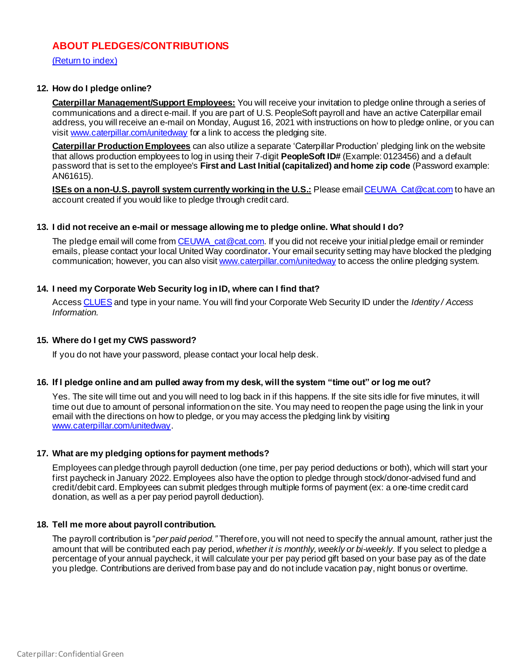# <span id="page-2-0"></span>**ABOUT PLEDGES/CONTRIBUTIONS**

[\(Return to index\)](#page-0-1)

## **12. How do I pledge online?**

**Caterpillar Management/Support Employees:** You will receive your invitation to pledge online through a series of communications and a direct e-mail. If you are part of U.S. PeopleSoft payroll and have an active Caterpillar email address, you will receive an e-mail on Monday, August 16, 2021 with instructions on how to pledge online, or you can visi[t www.caterpillar.com/unitedway](http://www.caterpillar.com/unitedway) for a link to access the pledging site.

**Caterpillar Production Employees** can also utilize a separate 'Caterpillar Production' pledging link on the website that allows production employees to log in using their 7-digit **PeopleSoft ID#** (Example: 0123456) and a default password that is set to the employee's **First and Last Initial (capitalized) and home zip code** (Password example: AN61615).

**ISEs on a non-U.S. payroll system currently working in the U.S.:** Please email CEUWA Cat@cat.com to have an account created if you would like to pledge through credit card.

## **13. I did not receive an e-mail or message allowing me to pledge online. What should I do?**

The pledge email will come from CEUWA cat@cat.com. If you did not receive your initial pledge email or reminder emails, please contact your local United Way coordinator**.** Your email security setting may have blocked the pledging communication; however, you can also visi[t www.caterpillar.com/unitedway](http://www.caterpillar.com/unitedway) to access the online pledging system.

# **14. I need my Corporate Web Security log in ID, where can I find that?**

Acces[s CLUES](https://clues.cat.com/clues/clues_search.jsp) and type in your name. You will find your Corporate Web Security ID under the *Identity / Access Information.* 

#### **15. Where do I get my CWS password?**

If you do not have your password, please contact your local help desk.

# **16. If I pledge online and am pulled away from my desk, will the system "time out" or log me out?**

Yes. The site will time out and you will need to log back in if this happens. If the site sits idle for five minutes, it will time out due to amount of personal information on the site. You may need to reopen the page using the link in your email with the directions on how to pledge, or you may access the pledging link by visiting [www.caterpillar.com/unitedway](http://www.caterpillar.com/unitedway).

#### **17. What are my pledging options for payment methods?**

Employees can pledge through payroll deduction (one time, per pay period deductions or both), which will start your first paycheck in January 2022. Employees also have the option to pledge through stock/donor-advised fund and credit/debit card. Employees can submit pledges through multiple forms of payment (ex: a one-time credit card donation, as well as a per pay period payroll deduction).

#### **18. Tell me more about payroll contribution.**

The payroll contribution is "*per paid period."* Therefore, you will not need to specify the annual amount, rather just the amount that will be contributed each pay period, *whether it is monthly, weekly or bi-weekly*. If you select to pledge a percentage of your annual paycheck, it will calculate your per pay period gift based on your base pay as of the date you pledge. Contributions are derived from base pay and do not include vacation pay, night bonus or overtime.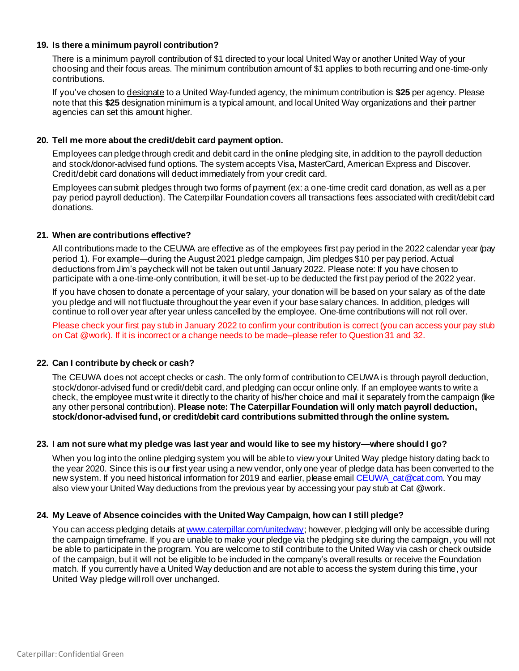## **19. Is there a minimum payroll contribution?**

There is a minimum payroll contribution of \$1 directed to your local United Way or another United Way of your choosing and their focus areas. The minimum contribution amount of \$1 applies to both recurring and one-time-only contributions.

If you've chosen to designate to a United Way-funded agency, the minimum contribution is **\$25** per agency. Please note that this **\$25** designation minimum is a typical amount, and local United Way organizations and their partner agencies can set this amount higher.

# **20. Tell me more about the credit/debit card payment option.**

Employees can pledge through credit and debit card in the online pledging site, in addition to the payroll deduction and stock/donor-advised fund options. The system accepts Visa, MasterCard, American Express and Discover. Credit/debit card donations will deduct immediately from your credit card.

Employees can submit pledges through two forms of payment (ex: a one-time credit card donation, as well as a per pay period payroll deduction). The Caterpillar Foundation covers all transactions fees associated with credit/debit card donations.

## **21. When are contributions effective?**

All contributions made to the CEUWA are effective as of the employees first pay period in the 2022 calendar year (pay period 1). For example—during the August 2021 pledge campaign, Jim pledges \$10 per pay period. Actual deductions from Jim's paycheck will not be taken out until January 2022. Please note: If you have chosen to participate with a one-time-only contribution, it will be set-up to be deducted the first pay period of the 2022 year.

If you have chosen to donate a percentage of your salary, your donation will be based on your salary as of the date you pledge and will not fluctuate throughout the year even if your base salary chances. In addition, pledges will continue to roll over year after year unless cancelled by the employee. One-time contributions will not roll over.

Please check your first pay stub in January 2022 to confirm your contribution is correct (you can access your pay stub on Cat @work). If it is incorrect or a change needs to be made–please refer to Question 31 and 32.

# **22. Can I contribute by check or cash?**

The CEUWA does not accept checks or cash. The only form of contribution to CEUWA is through payroll deduction, stock/donor-advised fund or credit/debit card, and pledging can occur online only. If an employee wants to write a check, the employee must write it directly to the charity of his/her choice and mail it separately from the campaign (like any other personal contribution). **Please note: The Caterpillar Foundation will only match payroll deduction, stock/donor-advised fund, or credit/debit card contributions submitted through the online system.**

#### **23. I am not sure what my pledge was last year and would like to see my history—where should I go?**

When you log into the online pledging system you will be able to view your United Way pledge history dating back to the year 2020. Since this is our first year using a new vendor, only one year of pledge data has been converted to the new system. If you need historical information for 2019 and earlier, please email CEUWA cat@cat.com. You may also view your United Way deductions from the previous year by accessing your pay stub at Cat @work.

# **24. My Leave of Absence coincides with the United Way Campaign, how can I still pledge?**

You can access pledging details a[t www.caterpillar.com/unitedway](http://www.caterpillar.com/unitedway); however, pledging will only be accessible during the campaign timeframe. If you are unable to make your pledge via the pledging site during the campaign, you will not be able to participate in the program. You are welcome to still contribute to the United Way via cash or check outside of the campaign, but it will not be eligible to be included in the company's overall results or receive the Foundation match. If you currently have a United Way deduction and are not able to access the system during this time, your United Way pledge will roll over unchanged.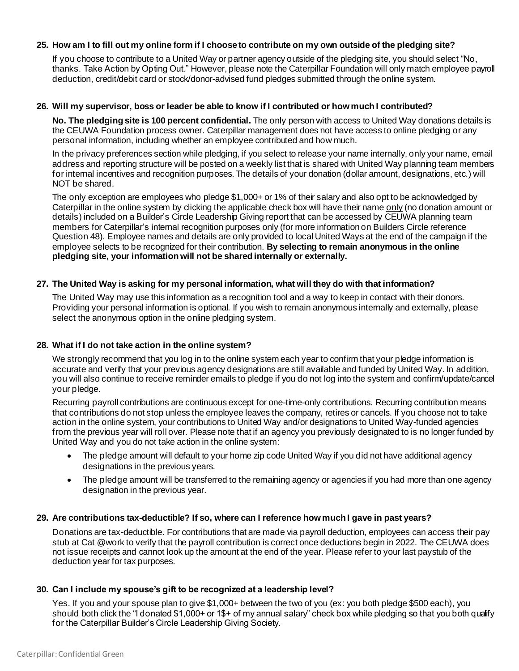## **25. How am I to fill out my online form if I choose to contribute on my own outside of the pledging site?**

If you choose to contribute to a United Way or partner agency outside of the pledging site, you should select "No, thanks. Take Action by Opting Out." However, please note the Caterpillar Foundation will only match employee payroll deduction, credit/debit card or stock/donor-advised fund pledges submitted through the online system.

#### **26. Will my supervisor, boss or leader be able to know if I contributed or how much I contributed?**

**No. The pledging site is 100 percent confidential.** The only person with access to United Way donations details is the CEUWA Foundation process owner. Caterpillar management does not have access to online pledging or any personal information, including whether an employee contributed and how much.

In the privacy preferences section while pledging, if you select to release your name internally, only your name, email address and reporting structure will be posted on a weekly list that is shared with United Way planning team members for internal incentives and recognition purposes. The details of your donation (dollar amount, designations, etc.) will NOT be shared.

The only exception are employees who pledge \$1,000+ or 1% of their salary and also opt to be acknowledged by Caterpillar in the online system by clicking the applicable check box will have their name only (no donation amount or details) included on a Builder's Circle Leadership Giving report that can be accessed by CEUWA planning team members for Caterpillar's internal recognition purposes only (for more information on Builders Circle reference Question 48). Employee names and details are only provided to local United Ways at the end of the campaign if the employee selects to be recognized for their contribution. **By selecting to remain anonymous in the online pledging site, your information will not be shared internally or externally.**

## **27. The United Way is asking for my personal information, what will they do with that information?**

The United Way may use this information as a recognition tool and a way to keep in contact with their donors. Providing your personal information is optional. If you wish to remain anonymous internally and externally, please select the anonymous option in the online pledging system.

# **28. What if I do not take action in the online system?**

We strongly recommend that you log in to the online system each year to confirm that your pledge information is accurate and verify that your previous agency designations are still available and funded by United Way. In addition, you will also continue to receive reminder emails to pledge if you do not log into the system and confirm/update/cancel your pledge.

Recurring payroll contributions are continuous except for one-time-only contributions. Recurring contribution means that contributions do not stop unless the employee leaves the company, retires or cancels. If you choose not to take action in the online system, your contributions to United Way and/or designations to United Way-funded agencies from the previous year will roll over. Please note that if an agency you previously designated to is no longer funded by United Way and you do not take action in the online system:

- The pledge amount will default to your home zip code United Way if you did not have additional agency designations in the previous years.
- The pledge amount will be transferred to the remaining agency or agencies if you had more than one agency designation in the previous year.

#### **29. Are contributions tax-deductible? If so, where can I reference how much I gave in past years?**

Donations are tax-deductible. For contributions that are made via payroll deduction, employees can access their pay stub at Cat @work to verify that the payroll contribution is correct once deductions begin in 2022. The CEUWA does not issue receipts and cannot look up the amount at the end of the year. Please refer to your last paystub of the deduction year for tax purposes.

#### **30. Can I include my spouse's gift to be recognized at a leadership level?**

Yes. If you and your spouse plan to give \$1,000+ between the two of you (ex: you both pledge \$500 each), you should both click the "I donated \$1,000+ or 1\$+ of my annual salary" check box while pledging so that you both qualify for the Caterpillar Builder's Circle Leadership Giving Society.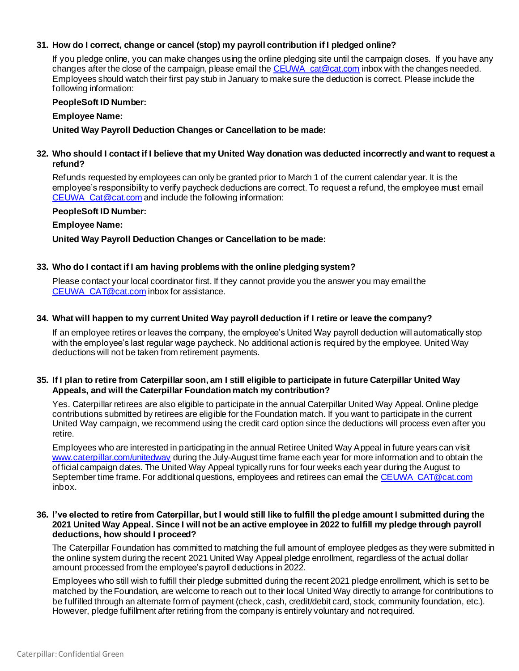# **31. How do I correct, change or cancel (stop) my payroll contribution if I pledged online?**

If you pledge online, you can make changes using the online pledging site until the campaign closes. If you have any changes after the close of the campaign, please email the CEUWA cat@cat.com inbox with the changes needed. Employees should watch their first pay stub in January to make sure the deduction is correct. Please include the following information:

## **PeopleSoft ID Number:**

## **Employee Name:**

**United Way Payroll Deduction Changes or Cancellation to be made:** 

# **32. Who should I contact if I believe that my United Way donation was deducted incorrectly and want to request a refund?**

Refunds requested by employees can only be granted prior to March 1 of the current calendar year. It is the employee's responsibility to verify paycheck deductions are correct. To request a refund, the employee must email [CEUWA\\_Cat@cat.com](mailto:CEUWA_Cat@cat.com) and include the following information:

## **PeopleSoft ID Number:**

# **Employee Name:**

**United Way Payroll Deduction Changes or Cancellation to be made:** 

## **33. Who do I contact if I am having problems with the online pledging system?**

Please contact your local coordinator first. If they cannot provide you the answer you may email the [CEUWA\\_CAT@cat.com](mailto:CEUWA_CAT@cat.com) inbox for assistance.

## **34. What will happen to my current United Way payroll deduction if I retire or leave the company?**

If an employee retires or leaves the company, the employee's United Way payroll deduction will automatically stop with the employee's last regular wage paycheck. No additional action is required by the employee. United Way deductions will not be taken from retirement payments.

## **35. If I plan to retire from Caterpillar soon, am I still eligible to participate in future Caterpillar United Way Appeals, and will the Caterpillar Foundation match my contribution?**

Yes. Caterpillar retirees are also eligible to participate in the annual Caterpillar United Way Appeal. Online pledge contributions submitted by retirees are eligible for the Foundation match. If you want to participate in the current United Way campaign, we recommend using the credit card option since the deductions will process even after you retire.

Employees who are interested in participating in the annual Retiree United Way Appeal in future years can visit [www.caterpillar.com/unitedway](http://www.caterpillar.com/unitedway) during the July-August time frame each year for more information and to obtain the official campaign dates. The United Way Appeal typically runs for four weeks each year during the August to September time frame. For additional questions, employees and retirees can email th[e CEUWA\\_CAT@cat.com](mailto:CEUWA_CAT@cat.com) inbox.

#### **36. I've elected to retire from Caterpillar, but I would still like to fulfill the pledge amount I submitted during the 2021 United Way Appeal. Since I will not be an active employee in 2022 to fulfill my pledge through payroll deductions, how should I proceed?**

The Caterpillar Foundation has committed to matching the full amount of employee pledges as they were submitted in the online system during the recent 2021 United Way Appeal pledge enrollment, regardless of the actual dollar amount processed from the employee's payroll deductions in 2022.

Employees who still wish to fulfill their pledge submitted during the recent 2021 pledge enrollment, which is set to be matched by the Foundation, are welcome to reach out to their local United Way directly to arrange for contributions to be fulfilled through an alternate form of payment (check, cash, credit/debit card, stock, community foundation, etc.). However, pledge fulfillment after retiring from the company is entirely voluntary and not required.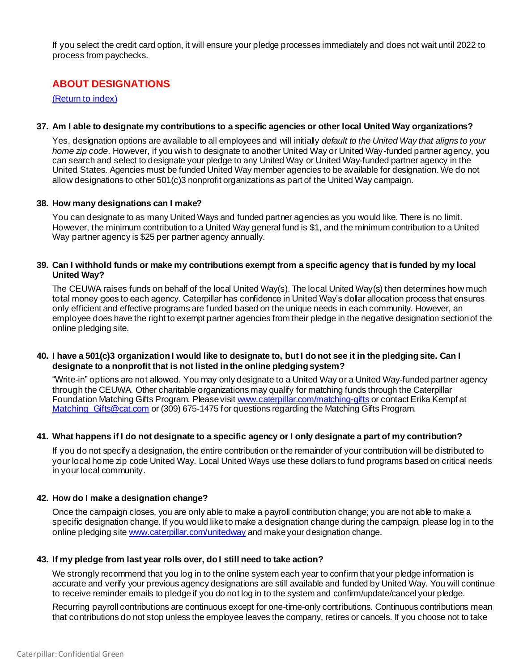If you select the credit card option, it will ensure your pledge processes immediately and does not wait until 2022 to process from paychecks.

# <span id="page-6-0"></span>**ABOUT DESIGNATIONS**

[\(Return to index\)](#page-0-1)

#### **37. Am I able to designate my contributions to a specific agencies or other local United Way organizations?**

Yes, designation options are available to all employees and will initially *default to the United Way that aligns to your home zip code*. However, if you wish to designate to another United Way or United Way-funded partner agency, you can search and select to designate your pledge to any United Way or United Way-funded partner agency in the United States. Agencies must be funded United Way member agencies to be available for designation. We do not allow designations to other 501(c)3 nonprofit organizations as part of the United Way campaign.

#### **38. How many designations can I make?**

You can designate to as many United Ways and funded partner agencies as you would like. There is no limit. However, the minimum contribution to a United Way general fund is \$1, and the minimum contribution to a United Way partner agency is \$25 per partner agency annually.

## **39. Can I withhold funds or make my contributions exempt from a specific agency that is funded by my local United Way?**

The CEUWA raises funds on behalf of the local United Way(s). The local United Way(s) then determines how much total money goes to each agency. Caterpillar has confidence in United Way's dollar allocation process that ensures only efficient and effective programs are funded based on the unique needs in each community. However, an employee does have the right to exempt partner agencies from their pledge in the negative designation section of the online pledging site.

## **40. I have a 501(c)3 organization I would like to designate to, but I do not see it in the pledging site. Can I designate to a nonprofit that is not listed in the online pledging system?**

"Write-in" options are not allowed. You may only designate to a United Way or a United Way-funded partner agency through the CEUWA. Other charitable organizations may qualify for matching funds through the Caterpillar Foundation Matching Gifts Program. Please visi[t www.caterpillar.com/matching-gifts](http://www.caterpillar.com/matching-gifts) or contact Erika Kempf at Matching Gifts@cat.com or (309) 675-1475 for questions regarding the Matching Gifts Program.

#### **41. What happens if I do not designate to a specific agency or I only designate a part of my contribution?**

If you do not specify a designation, the entire contribution or the remainder of your contribution will be distributed to your local home zip code United Way. Local United Ways use these dollars to fund programs based on critical needs in your local community.

#### **42. How do I make a designation change?**

Once the campaign closes, you are only able to make a payroll contribution change; you are not able to make a specific designation change. If you would like to make a designation change during the campaign, please log in to the online pledging sit[e www.caterpillar.com/unitedway](http://www.caterpillar.com/unitedway) and make your designation change.

#### **43. If my pledge from last year rolls over, do I still need to take action?**

We strongly recommend that you log in to the online system each year to confirm that your pledge information is accurate and verify your previous agency designations are still available and funded by United Way. You will continue to receive reminder emails to pledge if you do not log in to the system and confirm/update/cancel your pledge.

Recurring payroll contributions are continuous except for one-time-only contributions. Continuous contributions mean that contributions do not stop unless the employee leaves the company, retires or cancels. If you choose not to take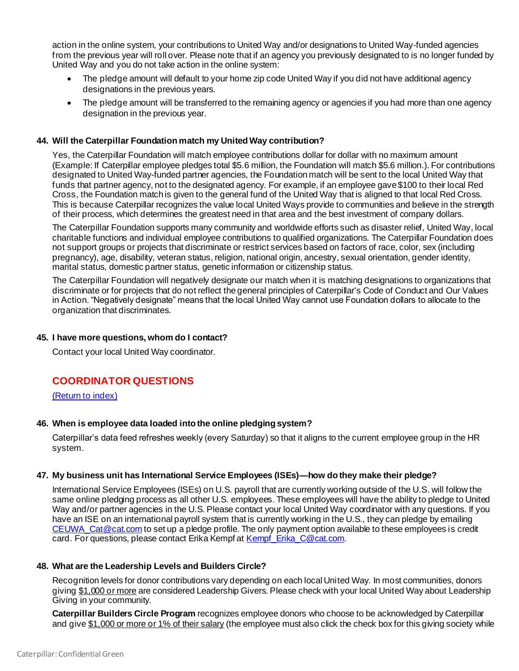action in the online system, your contributions to United Way and/or designations to United Way-funded agencies from the previous year will roll over. Please note that if an agency you previously designated to is no longer funded by United Way and you do not take action in the online system:

- The pledge amount will default to your home zip code United Way if you did not have additional agency designations in the previous years.
- The pledge amount will be transferred to the remaining agency or agencies if you had more than one agency designation in the previous year.

## **44. Will the Caterpillar Foundation match my United Way contribution?**

Yes, the Caterpillar Foundation will match employee contributions dollar for dollar with no maximum amount (Example: If Caterpillar employee pledges total \$5.6 million, the Foundation will match \$5.6 million.). For contributions designated to United Way-funded partner agencies, the Foundation match will be sent to the local United Way that funds that partner agency, not to the designated agency. For example, if an employee gave \$100 to their local Red Cross, the Foundation match is given to the general fund of the United Way that is aligned to that local Red Cross. This is because Caterpillar recognizes the value local United Ways provide to communities and believe in the strength of their process, which determines the greatest need in that area and the best investment of company dollars.

The Caterpillar Foundation supports many community and worldwide efforts such as disaster relief, United Way, local charitable functions and individual employee contributions to qualified organizations. The Caterpillar Foundation does not support groups or projects that discriminate or restrict services based on factors of race, color, sex (including pregnancy), age, disability, veteran status, religion, national origin, ancestry, sexual orientation, gender identity, marital status, domestic partner status, genetic information or citizenship status.

The Caterpillar Foundation will negatively designate our match when it is matching designations to organizations that discriminate or for projects that do not reflect the general principles of Caterpillar's Code of Conduct and Our Values in Action. "Negatively designate" means that the local United Way cannot use Foundation dollars to allocate to the organization that discriminates.

#### **45. I have more questions, whom do I contact?**

Contact your local United Way coordinator.

# <span id="page-7-0"></span>**COORDINATOR QUESTIONS**

[\(Return to index\)](#page-0-1)

# **46. When is employee data loaded into the online pledging system?**

Caterpillar's data feed refreshes weekly (every Saturday) so that it aligns to the current employee group in the HR system.

# **47. My business unit has International Service Employees (ISEs)—how do they make their pledge?**

International Service Employees (ISEs) on U.S. payroll that are currently working outside of the U.S. will follow the same online pledging process as all other U.S. employees. These employees will have the ability to pledge to United Way and/or partner agencies in the U.S. Please contact your local United Way coordinator with any questions. If you have an ISE on an international payroll system that is currently working in the U.S., they can pledge by emailing [CEUWA\\_Cat@cat.com](mailto:CEUWA_Cat@cat.com) to set up a pledge profile. The only payment option available to these employees is credit card. For questions, please contact Erika Kempf a[t Kempf\\_Erika\\_C@cat.com](mailto:Kempf_Erika_C@cat.com).

# **48. What are the Leadership Levels and Builders Circle?**

Recognition levels for donor contributions vary depending on each local United Way. In most communities, donors giving \$1,000 or more are considered Leadership Givers. Please check with your local United Way about Leadership Giving in your community.

**Caterpillar Builders Circle Program** recognizes employee donors who choose to be acknowledged by Caterpillar and give \$1,000 or more or 1% of their salary (the employee must also click the check box for this giving society while